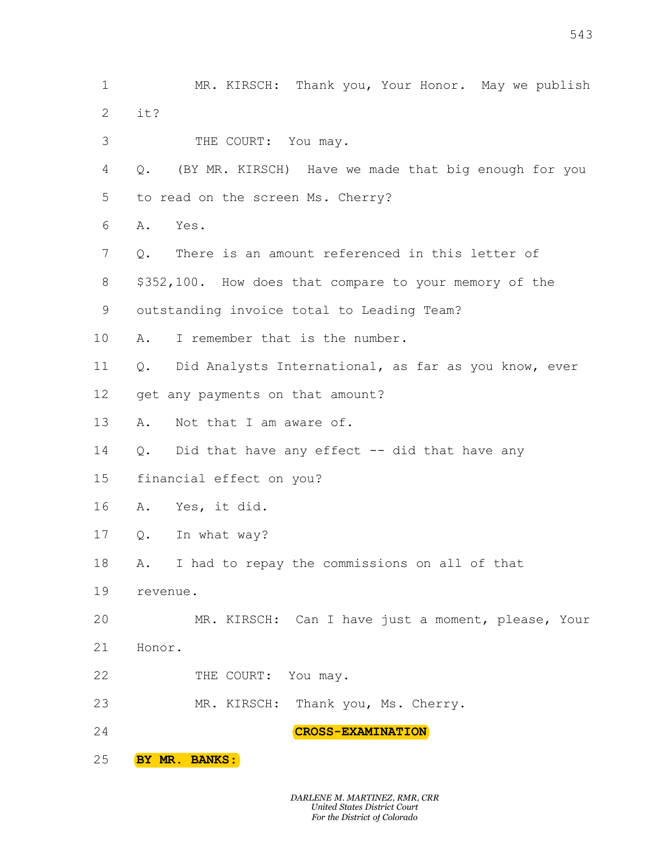1 MR. KIRSCH: Thank you, Your Honor. May we publish  $2$  it? 3 THE COURT: You may. 4 Q. (BY MR. KIRSCH) Have we made that big enough for you 5 to read on the screen Ms. Cherry? 6 A. Yes. 7 0. There is an amount referenced in this letter of 8 \$352,100. How does that compare to your memory of the 9 outstanding invoice total to Leading Team? 10 A. I remember that is the number. 11 Q. Did Analysts International, as far as you know, ever 13 A. Not that I am aware of. 14 Q. Did that have any effect -- did that have any 15 financial effect on you? 16 A. Yes, it did. 17 0. In what way? 18 A. I had to repay the commissions on all of that 19 revenue. 20 MR. KIRSCH: Can I have just a moment, please, Your 21 Honor. 543<br>MR. KIRSCH: Thank you, Your Honor. May we publish<br>THE COURT: You may.<br>I MR. KIRSCH) Have we made that big enough for you it? 543<br>MR. KIRSCH: Thank you, Your Honor. May we publish<br>THE COURT: You may.<br>( MR. KIRSCH) Have we made that big enough for you<br>on the screen Ms. Cherry? 543<br>MR. KIRSCH: Thank you, Your Honor. May we publish<br>it?<br>THE COURT: You may.<br>Q. (BY MR. KIRSCH) Have we made that big enough for you<br>to read on the screen Ms. Cherry?<br>A. Yes.<br>Q. There is an amount referenced in this lette 543<br>MR. KIRSCH: Thank you, Your Honor. May we publish<br>it?<br>THE COURT: You may.<br>Q. (BY MR. KIRSCH) Have we made that big enough for you<br>to read on the screen Ms. Cherry?<br>A. Yes.<br>Q. There is an amount referenced in this lette A. Yes. 543<br>MR. KIRSCH: Thank you, Your Honor. May we publish<br>it?<br>THE COURT: You may.<br>Q. (BY MR. KIRSCH) Have we made that big enough for you<br>to read on the screen Ms. Cherry?<br>A. Yes.<br>Q. There is an amount referenced in this lette 543<br>
MR. KIRSCH: Thank you, Your Honor. May we publish<br>
it?<br>
THE COURT: You may.<br>
Q. (BY MR. KIRSCH) Have we made that big enough for you<br>
to read on the screen Ms. Cherry?<br>
A. Yes.<br>
Q. There is an amount referenced in thi MR. KIRSCH: Thank you, Your Honor. May we publish<br>it?<br>THE COURT: You may.<br>Q. (BY MR. KIRSCH) Have we made that big enough for you<br>to read on the screen Ms. Cherry?<br>A. Yes.<br>Q. There is an amount referenced in this letter of MR. KIRSCH: Thank you, Your Honor. May we publish<br>it?<br>THE COURT: You may.<br>Q. (BY MR. KIRSCH) Have we made that big enough for you<br>to read on the screen Ms. Cherry?<br>A. Yes.<br>Q. There is an amount referenced in this letter of it?<br>
THE COURT: You may.<br>
Q. (BY MR. KIRSCH) Have we made that big enough for you<br>
to read on the screen Ms. Cherry?<br>
A. Yes.<br>
Q. There is an amount referenced in this letter of<br>
\$352,100. How does that compare to your mem THE COURT: You may.<br>
Q. (BY MR. KIRSCH) Have we made that big enough for you<br>
to read on the screen Ms. Cherry?<br>
A. Yes.<br>
Q. There is an amount referenced in this letter of<br>
\$352,100. How does that compare to your memory o Q. (BY MR. KIRSCH) Have we made that big enough for you<br>to read on the screen Ms. Cherry?<br>A. Yes.<br>Q. There is an amount referenced in this letter of<br>S352,100. How does that compare to your memory of the<br>outstanding invoice to read on the screen Ms. Cherry?<br>
A. Yes.<br>
Q. There is an amount referenced in this letter of<br>
\$352,100. How does that compare to your memory of the<br>
outstanding invoice total to Leading Team?<br>
A. I remember that is the n A. Yes.<br>Q. There is an amount referenced in this letter of<br>\$352,100. How does that compare to your memory of the<br>outstanding invoice total to Leading Team?<br>A. I remember that is the number.<br>Q. Did Analysts International, a Q. There is an amount referenced in this letter of<br>\$352,100. How does that compare to your memory of the<br>outstanding invoice total to Leading Team?<br>A. I remember that is the number.<br>Q. Did Analysts International, as far as \$352,100. How does that compare to your memory of the<br>outstanding invoice total to Leading Team?<br>A. I remember that is the number.<br>Q. Did Analysts International, as far as you know, ever<br>get any payments on that amount?<br>A. outstanding invoice total to Leading Team?<br>
A. I remember that is the number.<br>
Q. Did Analysts International, as far as you know, ever<br>
get any payments on that amount?<br>
A. Not that I am aware of.<br>
Q. Did that have any eff Manalysts International, as far as you know, ever<br>payments on that amount?<br>: that I am aware of.<br>Higher that have any effect -- did that have any<br>ileffect on you?<br>s, it did.<br>what way?<br>and to repay the commissions on all of : that I am aware of.<br>
1 that have any effect -- did that have any<br>
11 effect on you?<br>
3, it did.<br>
what way?<br>
aad to repay the commissions on all of that<br>
.<br>
MR. KIRSCH: Can I have just a moment, please, Your<br>
THE COURT: Y I effect on you?<br>
11 effect on you?<br>
3, it did.<br>
what way?<br>
and to repay the commissions on all of that<br>
.<br>
MR. KIRSCH: Can I have just a moment, please, Your<br>
THE COURT: You may.<br>
MR. KIRSCH: Thank you, Ms. Cherry.<br> **CROS** A. Yes, it did.<br>
Q. In what way?<br>
A. I had to repay the commissions on all of that<br>
revenue.<br>
MR. KIRSCH: Can I have just a moment, please<br>
Honor.<br>
THE COURT: You may.<br>
MR. KIRSCH: Thank you, Ms. Cherry.<br> **CROSS-EXAMINATIO** 

- 22 THE COURT: You may.
- 23 MR. KIRSCH: Thank you, Ms. Cherry.
- 24 CRC CROSS-EXAMINATION
- 25 BY MR. BANKS:
- 
- 12 get any payments on that amount?
- 
- 
- 
-